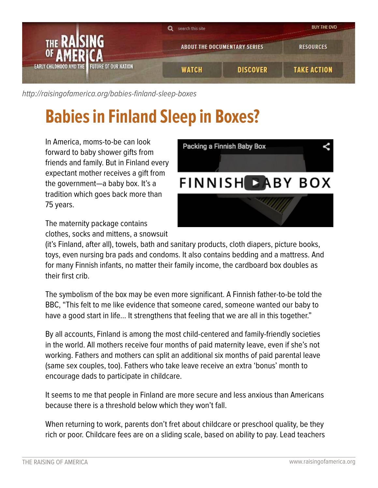

[http://raisingofamerica.org/](http://raisingofamerica.org/babies-finland-sleep-boxes)babies-finland-sleep-boxes

## **Babies in Finland Sleep in Boxes?**

In America, moms-to-be can look forward to baby shower gifts from friends and family. But in Finland every expectant mother receives a gift from the government—a baby box. It's a tradition which goes back more than 75 years.



The maternity package contains

clothes, socks and mittens, a snowsuit

(it's Finland, after all), towels, bath and sanitary products, cloth diapers, picture books, toys, even nursing bra pads and condoms. It also contains bedding and a mattress. And for many Finnish infants, no matter their family income, the cardboard box doubles as their first crib.

The symbolism of the box may be even more significant. A Finnish father-to-be told the BBC, "This felt to me like evidence that someone cared, someone wanted our baby to have a good start in life… It strengthens that feeling that we are all in this together."

By all accounts, Finland is among the most child-centered and family-friendly societies in the world. All mothers receive four months of paid maternity leave, even if she's not working. Fathers and mothers can split an additional six months of paid parental leave (same sex couples, too). Fathers who take leave receive an extra 'bonus' month to encourage dads to participate in childcare.

It seems to me that people in Finland are more secure and less anxious than Americans because there is a threshold below which they won't fall.

When returning to work, parents don't fret about childcare or preschool quality, be they rich or poor. Childcare fees are on a sliding scale, based on ability to pay. Lead teachers